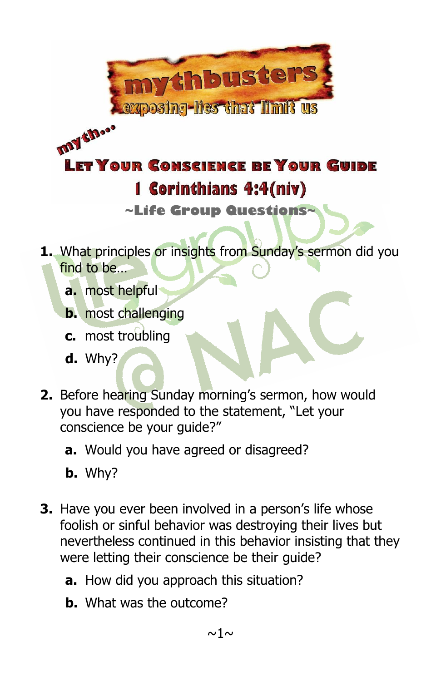

## **Iny theo** LET YOUR CONSCIENCE BE YOUR GUIDE 1 Corinthians 4:4(niv)

**~Life Group Questions~**

- **1.** What principles or insights from Sunday's sermon did you find to be…
	- **a.** most helpful
	- **b.** most challenging
	- **c.** most troubling
	- **d.** Why?
- **2.** Before hearing Sunday morning's sermon, how would you have responded to the statement, "Let your conscience be your guide?"
	- **a.** Would you have agreed or disagreed?
	- **b.** Why?
- **3.** Have you ever been involved in a person's life whose foolish or sinful behavior was destroying their lives but nevertheless continued in this behavior insisting that they were letting their conscience be their guide?
	- **a.** How did you approach this situation?
	- **b.** What was the outcome?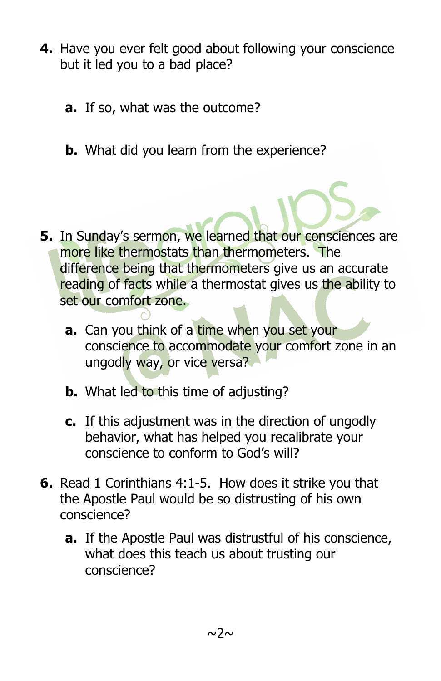- **4.** Have you ever felt good about following your conscience but it led you to a bad place?
	- **a.** If so, what was the outcome?
	- **b.** What did you learn from the experience?

- **5.** In Sunday's sermon, we learned that our consciences are more like thermostats than thermometers. The difference being that thermometers give us an accurate reading of facts while a thermostat gives us the ability to set our comfort zone.
	- **a.** Can you think of a time when you set your conscience to accommodate your comfort zone in an ungodly way, or vice versa?
	- **b.** What led to this time of adjusting?
	- **c.** If this adjustment was in the direction of ungodly behavior, what has helped you recalibrate your conscience to conform to God's will?
- **6.** Read 1 Corinthians 4:1-5. How does it strike you that the Apostle Paul would be so distrusting of his own conscience?
	- **a.** If the Apostle Paul was distrustful of his conscience, what does this teach us about trusting our conscience?